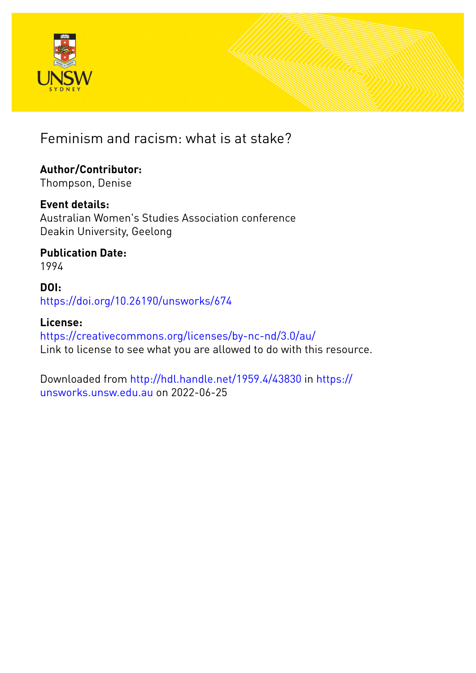

Feminism and racism: what is at stake?

# **Author/Contributor:**

Thompson, Denise

### **Event details:**

Australian Women's Studies Association conference Deakin University, Geelong

#### **Publication Date:** 1994

### **DOI:** [https://doi.org/10.26190/unsworks/674](http://dx.doi.org/https://doi.org/10.26190/unsworks/674)

#### **License:** <https://creativecommons.org/licenses/by-nc-nd/3.0/au/> Link to license to see what you are allowed to do with this resource.

Downloaded from <http://hdl.handle.net/1959.4/43830> in [https://](https://unsworks.unsw.edu.au) [unsworks.unsw.edu.au](https://unsworks.unsw.edu.au) on 2022-06-25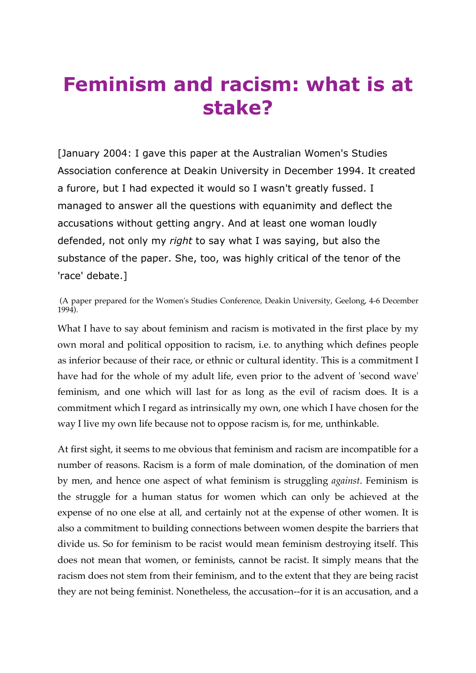# **Feminism and racism: what is at stake?**

[January 2004: I gave this paper at the Australian Women's Studies Association conference at Deakin University in December 1994. It created a furore, but I had expected it would so I wasn't greatly fussed. I managed to answer all the questions with equanimity and deflect the accusations without getting angry. And at least one woman loudly defended, not only my *right* to say what I was saying, but also the substance of the paper. She, too, was highly critical of the tenor of the 'race' debate.]

(A paper prepared for the Women's Studies Conference, Deakin University, Geelong, 4-6 December 1994).

What I have to say about feminism and racism is motivated in the first place by my own moral and political opposition to racism, i.e. to anything which defines people as inferior because of their race, or ethnic or cultural identity. This is a commitment I have had for the whole of my adult life, even prior to the advent of 'second wave' feminism, and one which will last for as long as the evil of racism does. It is a commitment which I regard as intrinsically my own, one which I have chosen for the way I live my own life because not to oppose racism is, for me, unthinkable.

At first sight, it seems to me obvious that feminism and racism are incompatible for a number of reasons. Racism is a form of male domination, of the domination of men by men, and hence one aspect of what feminism is struggling *against*. Feminism is the struggle for a human status for women which can only be achieved at the expense of no one else at all, and certainly not at the expense of other women. It is also a commitment to building connections between women despite the barriers that divide us. So for feminism to be racist would mean feminism destroying itself. This does not mean that women, or feminists, cannot be racist. It simply means that the racism does not stem from their feminism, and to the extent that they are being racist they are not being feminist. Nonetheless, the accusation--for it is an accusation, and a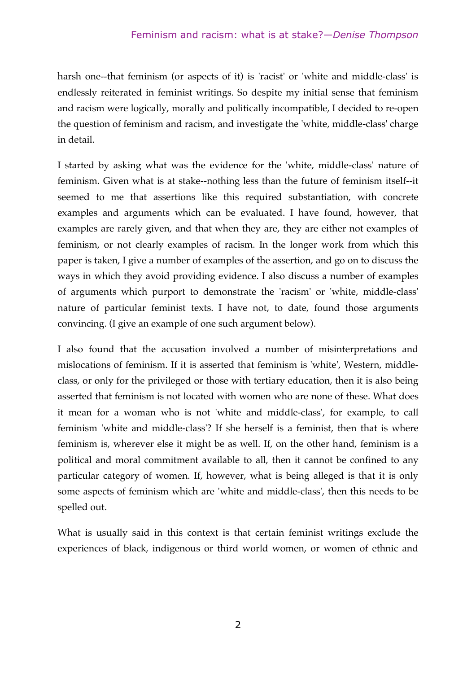harsh one--that feminism (or aspects of it) is 'racist' or 'white and middle-class' is endlessly reiterated in feminist writings. So despite my initial sense that feminism and racism were logically, morally and politically incompatible, I decided to re-open the question of feminism and racism, and investigate the 'white, middle-class' charge in detail.

I started by asking what was the evidence for the 'white, middle-class' nature of feminism. Given what is at stake--nothing less than the future of feminism itself--it seemed to me that assertions like this required substantiation, with concrete examples and arguments which can be evaluated. I have found, however, that examples are rarely given, and that when they are, they are either not examples of feminism, or not clearly examples of racism. In the longer work from which this paper is taken, I give a number of examples of the assertion, and go on to discuss the ways in which they avoid providing evidence. I also discuss a number of examples of arguments which purport to demonstrate the 'racism' or 'white, middle-class' nature of particular feminist texts. I have not, to date, found those arguments convincing. (I give an example of one such argument below).

I also found that the accusation involved a number of misinterpretations and mislocations of feminism. If it is asserted that feminism is 'white', Western, middleclass, or only for the privileged or those with tertiary education, then it is also being asserted that feminism is not located with women who are none of these. What does it mean for a woman who is not 'white and middle-class', for example, to call feminism 'white and middle-class'? If she herself is a feminist, then that is where feminism is, wherever else it might be as well. If, on the other hand, feminism is a political and moral commitment available to all, then it cannot be confined to any particular category of women. If, however, what is being alleged is that it is only some aspects of feminism which are 'white and middle-class', then this needs to be spelled out.

What is usually said in this context is that certain feminist writings exclude the experiences of black, indigenous or third world women, or women of ethnic and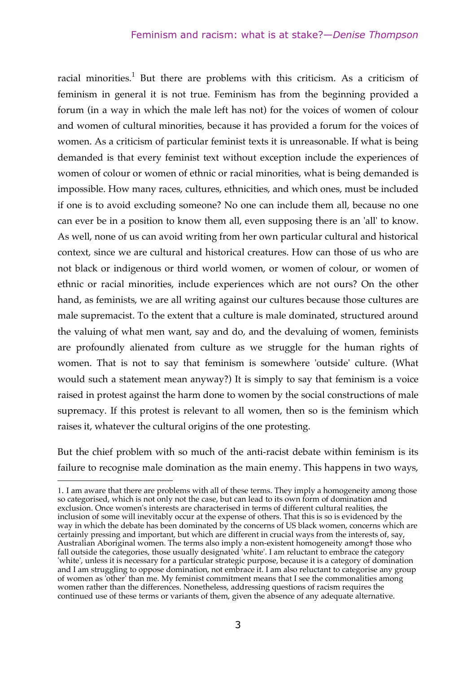#### Feminism and racism: what is at stake?—*Denise Thompson*

racial minorities.<sup>1</sup> But there are problems with this criticism. As a criticism of feminism in general it is not true. Feminism has from the beginning provided a forum (in a way in which the male left has not) for the voices of women of colour and women of cultural minorities, because it has provided a forum for the voices of women. As a criticism of particular feminist texts it is unreasonable. If what is being demanded is that every feminist text without exception include the experiences of women of colour or women of ethnic or racial minorities, what is being demanded is impossible. How many races, cultures, ethnicities, and which ones, must be included if one is to avoid excluding someone? No one can include them all, because no one can ever be in a position to know them all, even supposing there is an 'all' to know. As well, none of us can avoid writing from her own particular cultural and historical context, since we are cultural and historical creatures. How can those of us who are not black or indigenous or third world women, or women of colour, or women of ethnic or racial minorities, include experiences which are not ours? On the other hand, as feminists, we are all writing against our cultures because those cultures are male supremacist. To the extent that a culture is male dominated, structured around the valuing of what men want, say and do, and the devaluing of women, feminists are profoundly alienated from culture as we struggle for the human rights of women. That is not to say that feminism is somewhere 'outside' culture. (What would such a statement mean anyway?) It is simply to say that feminism is a voice raised in protest against the harm done to women by the social constructions of male supremacy. If this protest is relevant to all women, then so is the feminism which raises it, whatever the cultural origins of the one protesting.

But the chief problem with so much of the anti-racist debate within feminism is its failure to recognise male domination as the main enemy. This happens in two ways,

-

<sup>1.</sup> I am aware that there are problems with all of these terms. They imply a homogeneity among those so categorised, which is not only not the case, but can lead to its own form of domination and exclusion. Once women's interests are characterised in terms of different cultural realities, the inclusion of some will inevitably occur at the expense of others. That this is so is evidenced by the way in which the debate has been dominated by the concerns of US black women, concerns which are certainly pressing and important, but which are different in crucial ways from the interests of, say, Australian Aboriginal women. The terms also imply a non-existent homogeneity among† those who fall outside the categories, those usually designated 'white'. I am reluctant to embrace the category 'white', unless it is necessary for a particular strategic purpose, because it is a category of domination and I am struggling to oppose domination, not embrace it. I am also reluctant to categorise any group of women as 'other' than me. My feminist commitment means that I see the commonalities among women rather than the differences. Nonetheless, addressing questions of racism requires the continued use of these terms or variants of them, given the absence of any adequate alternative.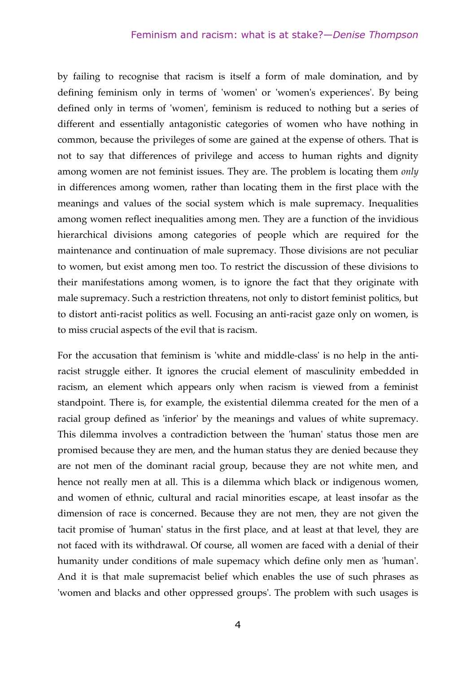#### Feminism and racism: what is at stake?—*Denise Thompson*

by failing to recognise that racism is itself a form of male domination, and by defining feminism only in terms of 'women' or 'women's experiences'. By being defined only in terms of 'women', feminism is reduced to nothing but a series of different and essentially antagonistic categories of women who have nothing in common, because the privileges of some are gained at the expense of others. That is not to say that differences of privilege and access to human rights and dignity among women are not feminist issues. They are. The problem is locating them *only* in differences among women, rather than locating them in the first place with the meanings and values of the social system which is male supremacy. Inequalities among women reflect inequalities among men. They are a function of the invidious hierarchical divisions among categories of people which are required for the maintenance and continuation of male supremacy. Those divisions are not peculiar to women, but exist among men too. To restrict the discussion of these divisions to their manifestations among women, is to ignore the fact that they originate with male supremacy. Such a restriction threatens, not only to distort feminist politics, but to distort anti-racist politics as well. Focusing an anti-racist gaze only on women, is to miss crucial aspects of the evil that is racism.

For the accusation that feminism is 'white and middle-class' is no help in the antiracist struggle either. It ignores the crucial element of masculinity embedded in racism, an element which appears only when racism is viewed from a feminist standpoint. There is, for example, the existential dilemma created for the men of a racial group defined as 'inferior' by the meanings and values of white supremacy. This dilemma involves a contradiction between the 'human' status those men are promised because they are men, and the human status they are denied because they are not men of the dominant racial group, because they are not white men, and hence not really men at all. This is a dilemma which black or indigenous women, and women of ethnic, cultural and racial minorities escape, at least insofar as the dimension of race is concerned. Because they are not men, they are not given the tacit promise of 'human' status in the first place, and at least at that level, they are not faced with its withdrawal. Of course, all women are faced with a denial of their humanity under conditions of male supemacy which define only men as 'human'. And it is that male supremacist belief which enables the use of such phrases as 'women and blacks and other oppressed groups'. The problem with such usages is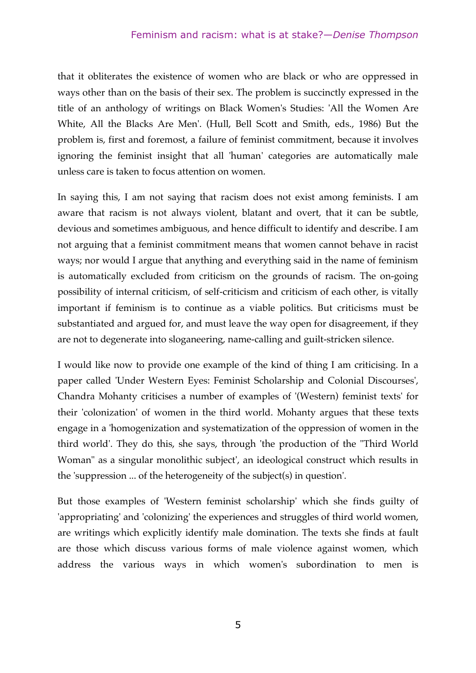that it obliterates the existence of women who are black or who are oppressed in ways other than on the basis of their sex. The problem is succinctly expressed in the title of an anthology of writings on Black Women's Studies: 'All the Women Are White, All the Blacks Are Men'. (Hull, Bell Scott and Smith, eds., 1986) But the problem is, first and foremost, a failure of feminist commitment, because it involves ignoring the feminist insight that all 'human' categories are automatically male unless care is taken to focus attention on women.

In saying this, I am not saying that racism does not exist among feminists. I am aware that racism is not always violent, blatant and overt, that it can be subtle, devious and sometimes ambiguous, and hence difficult to identify and describe. I am not arguing that a feminist commitment means that women cannot behave in racist ways; nor would I argue that anything and everything said in the name of feminism is automatically excluded from criticism on the grounds of racism. The on-going possibility of internal criticism, of self-criticism and criticism of each other, is vitally important if feminism is to continue as a viable politics. But criticisms must be substantiated and argued for, and must leave the way open for disagreement, if they are not to degenerate into sloganeering, name-calling and guilt-stricken silence.

I would like now to provide one example of the kind of thing I am criticising. In a paper called 'Under Western Eyes: Feminist Scholarship and Colonial Discourses', Chandra Mohanty criticises a number of examples of '(Western) feminist texts' for their 'colonization' of women in the third world. Mohanty argues that these texts engage in a 'homogenization and systematization of the oppression of women in the third world'. They do this, she says, through 'the production of the "Third World Woman" as a singular monolithic subject', an ideological construct which results in the 'suppression ... of the heterogeneity of the subject(s) in question'.

But those examples of 'Western feminist scholarship' which she finds guilty of 'appropriating' and 'colonizing' the experiences and struggles of third world women, are writings which explicitly identify male domination. The texts she finds at fault are those which discuss various forms of male violence against women, which address the various ways in which women's subordination to men is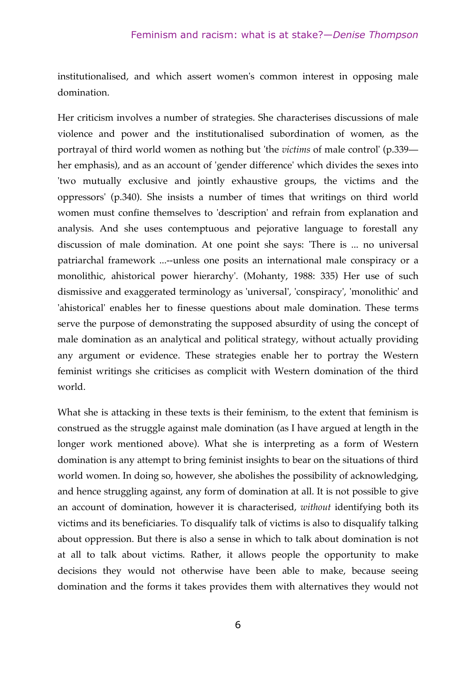institutionalised, and which assert women's common interest in opposing male domination.

Her criticism involves a number of strategies. She characterises discussions of male violence and power and the institutionalised subordination of women, as the portrayal of third world women as nothing but 'the *victims* of male control' (p.339 her emphasis), and as an account of 'gender difference' which divides the sexes into 'two mutually exclusive and jointly exhaustive groups, the victims and the oppressors' (p.340). She insists a number of times that writings on third world women must confine themselves to 'description' and refrain from explanation and analysis. And she uses contemptuous and pejorative language to forestall any discussion of male domination. At one point she says: 'There is ... no universal patriarchal framework ...--unless one posits an international male conspiracy or a monolithic, ahistorical power hierarchy'. (Mohanty, 1988: 335) Her use of such dismissive and exaggerated terminology as 'universal', 'conspiracy', 'monolithic' and 'ahistorical' enables her to finesse questions about male domination. These terms serve the purpose of demonstrating the supposed absurdity of using the concept of male domination as an analytical and political strategy, without actually providing any argument or evidence. These strategies enable her to portray the Western feminist writings she criticises as complicit with Western domination of the third world.

What she is attacking in these texts is their feminism, to the extent that feminism is construed as the struggle against male domination (as I have argued at length in the longer work mentioned above). What she is interpreting as a form of Western domination is any attempt to bring feminist insights to bear on the situations of third world women. In doing so, however, she abolishes the possibility of acknowledging, and hence struggling against, any form of domination at all. It is not possible to give an account of domination, however it is characterised, *without* identifying both its victims and its beneficiaries. To disqualify talk of victims is also to disqualify talking about oppression. But there is also a sense in which to talk about domination is not at all to talk about victims. Rather, it allows people the opportunity to make decisions they would not otherwise have been able to make, because seeing domination and the forms it takes provides them with alternatives they would not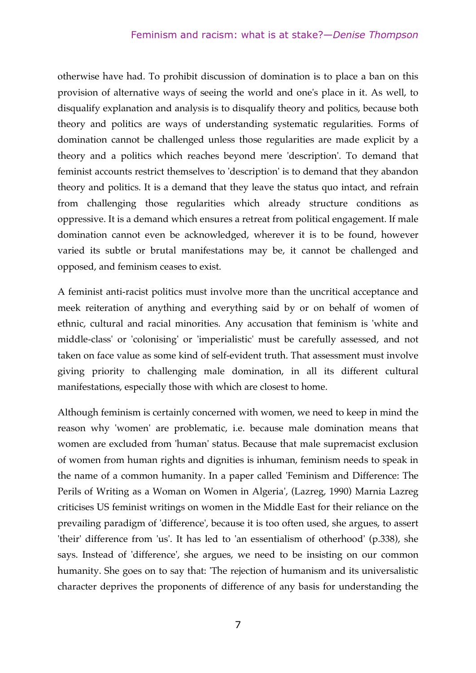otherwise have had. To prohibit discussion of domination is to place a ban on this provision of alternative ways of seeing the world and one's place in it. As well, to disqualify explanation and analysis is to disqualify theory and politics, because both theory and politics are ways of understanding systematic regularities. Forms of domination cannot be challenged unless those regularities are made explicit by a theory and a politics which reaches beyond mere 'description'. To demand that feminist accounts restrict themselves to 'description' is to demand that they abandon theory and politics. It is a demand that they leave the status quo intact, and refrain from challenging those regularities which already structure conditions as oppressive. It is a demand which ensures a retreat from political engagement. If male domination cannot even be acknowledged, wherever it is to be found, however varied its subtle or brutal manifestations may be, it cannot be challenged and opposed, and feminism ceases to exist.

A feminist anti-racist politics must involve more than the uncritical acceptance and meek reiteration of anything and everything said by or on behalf of women of ethnic, cultural and racial minorities. Any accusation that feminism is 'white and middle-class' or 'colonising' or 'imperialistic' must be carefully assessed, and not taken on face value as some kind of self-evident truth. That assessment must involve giving priority to challenging male domination, in all its different cultural manifestations, especially those with which are closest to home.

Although feminism is certainly concerned with women, we need to keep in mind the reason why 'women' are problematic, i.e. because male domination means that women are excluded from 'human' status. Because that male supremacist exclusion of women from human rights and dignities is inhuman, feminism needs to speak in the name of a common humanity. In a paper called 'Feminism and Difference: The Perils of Writing as a Woman on Women in Algeria', (Lazreg, 1990) Marnia Lazreg criticises US feminist writings on women in the Middle East for their reliance on the prevailing paradigm of 'difference', because it is too often used, she argues, to assert 'their' difference from 'us'. It has led to 'an essentialism of otherhood' (p.338), she says. Instead of 'difference', she argues, we need to be insisting on our common humanity. She goes on to say that: 'The rejection of humanism and its universalistic character deprives the proponents of difference of any basis for understanding the